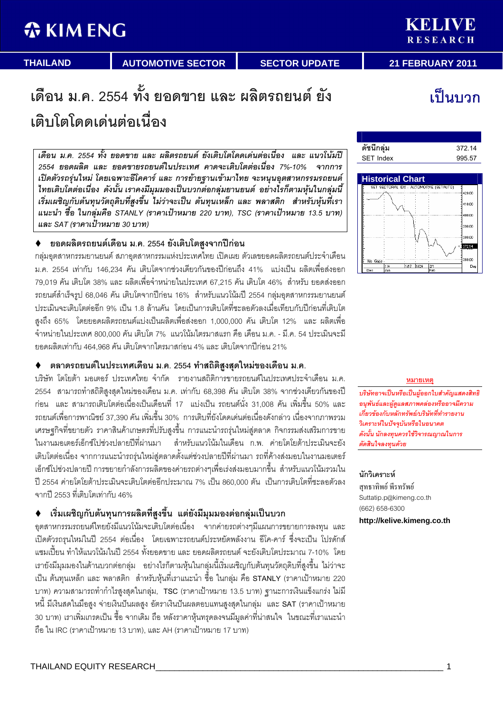# **WKIMENG**

้เป็นบวก

# เดือน ม.ค. 2554 ทั้ง ยอดขาย และ ผลิตรถยนต์ ยัง เติบโตโดดเด่นต่อเนื่อง

เดือน ม.ค. 2554 ทั้ง ยอดขาย และ ผลิตรถยนต์ ยังเติบโตโดดเด่นต่อเนื่อง และ แนวโน้มปี 2554 ยอดผลิต และ ยอดขายรถยนต์ในประเทศ คาดจะเติบโตต่อเนื่อง 7%-10% จากการ เปิดตัวรถรุ่นใหม่ โดยเฉพาะอีโคคาร์ และ การย้ายฐานเข้ามาไทย จะหนุนอุตสาหกรรมรถยนต์ ไทยเติบโตต่อเนื่อง ดังนั้น เราคงมีมุมมองเป็นบวกต่อกลุ่มยานยนต์ อย่างไรก็ตามหุ้นในกลุ่มนี้ เริ่มเผชิญกับต้นทุนวัตถุดิบที่สูงขึ้น ไม่ว่าจะเป็น ต้นทุนเหล็ก และ พลาสติก สำหรับหุ้นที่เรา ูแนะนำ ซื้อ ในกลุ่มคือ STANLY (ราคาเป้าหมาย 220 บาท), TSC (ราคาเป้าหมาย 13.5 บาท) และ SAT (ราคาเป้าหมาย 30 บาท)

# ♦ ยอดผลิตรถยนต์เดือน ม.ค. 2554 ยังเติบโตสูงจากปีก่อน

กลุ่มอุตสาหกรรมยานยนต์ สภาอุตสาหกรรมแห่งประเทศไทย เปิดเผย ตัวเลขยอดผลิตรถยนต์ประจำเดือน ม.ค. 2554 เท่ากับ 146,234 คัน เติบโตจากช่วงเดียวกันของปีก่อนถึง 41% แบ่งเป็น ผลิตเพื่อส่งออก 79,019 คัน เติบโต 38% และ ผลิตเพื่อจำหน่ายในประเทศ 67,215 คัน เติบโต 46% สำหรับ ยอดส่งออก  
 " <!= 68,046 % ).! -1- 16% " ).>1 2554 - - ประเมินจะเติบโตต่ออีก 9% เป็น 1.8 ล้านคัน โดยเป็นการเติบโตที่ชะลอตัวลงเมื่อเทียบกับปีก่อนที่เติบโต สูงถึง 65% โดยยอดผลิตรถยนต์แบ่งเป็นผลิตเพื่อส่งออก 1,000,000 คัน เติบโต 12% และ ผลิตเพื่อ จำหน่ายในประเทศ 800,000 คัน เติบโต 7% แนวโน้มไตรมาสแรก คือ เดือน ม.ค. - มี.ค. 54 ประเมินจะมี ยอดผลิตเท่ากับ 464,968 คัน เติบโตจากไตรมาสก่อน 4% และ เติบโตจากปีก่อน 21%

# ♦ ตลาดรถยนต์ในประเทศเดือน ม.ค. 2554 ทำสถิติสูงสุดใหม่ของเดือน ม.ค.

บริษัท โตโยต้า มอเตอร์ ประเทศไทย จำกัด รายงานสถิติการขายรถยนต์ในประเทศประจำเดือน ม.ค. 2554 สามารถทำสถิติสูงสุดใหม่ของเดือน ม.ค. เท่ากับ 68,398 คัน เติบโต 38% จากช่วงเดียวกันของปี ก่อน และ สามารถเติบโตต่อเนื่องเป็นเดือนที่ 17 แบ่งเป็น รถยนต์นั่ง 31,008 คัน เพิ่มขึ้น 50% และ รถยนต์เพื่อการพาณิชย์ 37,390 คัน เพิ่มขึ้น 30% การเติบที่ยังโดดเด่นต่อเนื่องดังกล่าว เนื่องจากภาพรวม เศรษฐกิจที่ขยายตัว ราคาสินค้าเกษตรที่ปรับสูงขึ้น การแนะนำรถรุ่นใหม่สู่ตลาด กิจกรรมส่งเสริมการขาย ในงานมอเตอร์เอ็กซ์โปช่วงปลายปีที่ผ่านมา ล้าหรับแนวโน้มในเดือน ก.พ. ค่ายโตโยต้าประเมินจะยัง เติบโตต่อเนื่อง จากการแนะนำรถรุ่นใหม่สู่ตลาดตั้งแต่ช่วงปลายปีที่ผ่านมา รถที่ค้างส่งมอบในงานมอเตอร์ เอ็กซ์โปช่วงปลายปี การขยายกำลังการผลิตของค่ายรถต่างๆเพื่อเร่งส่งมอบมากขึ้น สำหรับแนวโน้มรวมใน ปี 2554 ค่ายโตโยต้าประเมินจะเติบโตต่ออีกประมาณ 7% เป็น 860,000 ตัน เป็นการเติบโตที่ชะลอตัวลง จากปี 2553 ที่เติบโตเท่ากับ 46%

# ♦ เริ่มเผชิญกับต้นทุนการผลิตที่สูงขึ้น แต่ยังมีมุมมองต่อกลุ่มเป็นบวก

อุตสาหกรรมรถยนต์ไทยยังมีแนวโน้มจะเติบโตต่อเนื่อง จากค่ายรถต่างๆมีแผนการขยายการลงทุน และ เปิดตัวรถรุนใหม่ในปี 2554 ต่อเนื่อง โดยเฉพาะรถยนต์ประหยัดพลังงาน อีโค-คาร์ ซึ่งจะเป็น โปรดักส์ แซมเปี้ยน ทำให้แนวโน้มในปี 2554 ทั้งยอดขาย และ ยอดผลิตรถยนต์ จะยังเติบโตประมาณ 7-10% โดย เรายังมีมุมมองในด้านบวกต่อกลุ่ม อย่างไรก็ตามหุ้นในกลุ่มนี้เริ่มเผชิญกับต้นทุนวัตถุดิบที่สูงขึ้น ไม่ว่าจะ เป็น ต้นทุนเหล็ก และ พลาสติก สำหรับหุ้นที่เราแนะนำ ซื้อ ในกลุ่ม คือ STANLY (ราคาเป้าหมาย 220 บาท) ความสามารถทำกำไรสูงสุดในกลุ่ม, TSC (ราคาเป้าหมาย 13.5 บาท) ฐานะการเงินแข็งแกร่ง ไม่มี 0A 0 ;# = ! L =  L) = ;- SAT ( % J 30 บาท) เราเพิ่มเกรดเป็น ซื้อ จากเดิม ถือ หลังราคาหุ้นทรุดลงจนมีมูลค่าที่น่าสนใจ ในขณะที่เราแนะนำ ถือ ใน IRC (ราคาเป้าหมาย 13 บาท), และ AH (ราคาเป้าหมาย 17 บาท)





### **หมายเหต**

บริษัทอาจเป็นหรือเป็นผู้ออกใบสำคัญแสดงสิทธิ อนุพันธ์และผู้ดูแลสภาพคล่องหรืออาจมีความ เกี่ยวข้องกับหลักทรัพย์/บริษัทที่ทำรายงาน วิเคราะห์ในปัจจบันหรือในอนาคต ดังนั้น นักลงทุนควรใช้วิจารณญาณในการ ตัดสินใจลงทุนด้วย

# นักวิเคราะห์

สุทธาทิพย์ พีรทรัพย์ Suttatip.p@kimeng.co.th (662) 658-6300

**http://kelive.kimeng.co.th**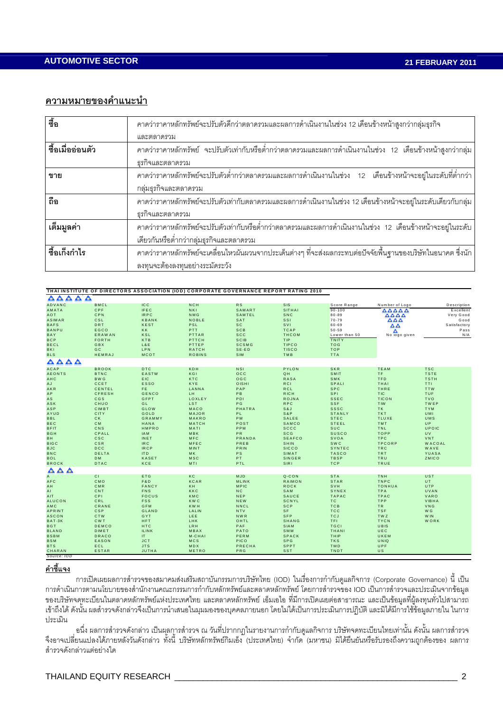# ิความหมายของคำแนะนำ

| ತ್ತೊ<br>ಲಿ       | คาดว่าราคาหลักทรัพย์จะปรับตัวดีกว่าตลาดรวมและผลการดำเนินงานในช่วง 12 เดือนข้างหน้าสูงกว่ากลุ่มธุรกิจ                |  |  |  |  |  |
|------------------|---------------------------------------------------------------------------------------------------------------------|--|--|--|--|--|
|                  | และตลาดรวม                                                                                                          |  |  |  |  |  |
| ชื้อเมื่ออ่อนตัว | ิ คาดว่าราคาหลักทรัพย์   จะปรับตัวเท่ากับหรือต่ำกว่าตลาดรวมและผลการดำเนินงานในช่วง   12   เดือนข้างหน้าสูงกว่ากลุ่ม |  |  |  |  |  |
|                  | ธุรกิจและตลาดรวม                                                                                                    |  |  |  |  |  |
| ขาย              | ี คาดว่าราคาหลักทรัพย์จะปรับตัวต่ำกว่าตลาดรวมและผลการดำเนินงานในช่วง 12 เดือนข้างหน้าจะอยู่ในระดับที่ต่ำกว่า        |  |  |  |  |  |
|                  | กลุ่มธุรกิจและตลาดรวม                                                                                               |  |  |  |  |  |
| ถือ              | คาดว่าราคาหลักทรัพย์จะปรับตัวเท่ากับตลาดรวมและผลการดำเนินงานในช่วง 12 เดือนข้างหน้าจะอยู่ในระดับเดียวกับกลุ่ม       |  |  |  |  |  |
|                  | ธุรกิจและตลาดรวม                                                                                                    |  |  |  |  |  |
| เต็มมูลค่า       | ิ คาดว่าราคาหลักทรัพย์จะปรับตัวเท่ากับหรือต่ำกว่าตลาดรวมและผลการดำเนินงานในช่วง 12 เดือนข้างหน้าจะอยู่ในระดับ       |  |  |  |  |  |
|                  | เดียวกันหรือต่ำกว่ากลุ่มธุรกิจและตลาดรวม                                                                            |  |  |  |  |  |
| ชื้อเก็งกำไร     | ิ คาดว่าราคาหลักทรัพย์จะเคลื่อนไหวผันผวนจากประเด็นต่างๆ ที่จะส่งผลกระทบต่อปัจจัยพื้นฐานของบริษัทในอนาคต ซึ่งนัก     |  |  |  |  |  |
|                  | ลงทุนจะต้องลงทุนอย่างระมัดระวัง                                                                                     |  |  |  |  |  |

|                                               |               | THAI INSTITUTE OF DIRECTORS ASSOCIATION (IOD) CORPORATE GOVERNANCE REPORT RATING 2010 |               |               |               |               |                |               |
|-----------------------------------------------|---------------|---------------------------------------------------------------------------------------|---------------|---------------|---------------|---------------|----------------|---------------|
| $\bullet$<br>$\bullet$<br>$\bullet$ $\bullet$ |               |                                                                                       |               |               |               |               |                |               |
| ADVANC                                        | <b>BMCL</b>   | IC <sub>C</sub>                                                                       | <b>NCH</b>    | <b>RS</b>     | <b>SIS</b>    | Score Range   | Number of Logo | Description   |
| AMATA                                         | CPF           | IFEC.                                                                                 | <b>NKI</b>    | SAMART        | SITHAI        | $90 - 100$    | AAAAA          | Excellent     |
| AOT                                           | CPN           | <b>IRPC</b>                                                                           | NMG           | SAMTEL        | SNC           | $80 - 89$     | AAAA           | Very Good     |
| <b>ASIMAR</b>                                 | CSL           | <b>KBANK</b>                                                                          | <b>NOBLE</b>  | SAT           | <b>SSI</b>    | $70 - 79$     | AAA            | Good          |
| <b>BAFS</b>                                   | DRT           | <b>KEST</b>                                                                           | <b>PSL</b>    | <b>SC</b>     | SVI           | 60-69         | ΔA             | Satisfactory  |
| <b>BANPU</b>                                  | EGCO          | KK                                                                                    | PTT           | <b>SCB</b>    | <b>TCAP</b>   | $50 - 59$     | Δ              | Pass          |
| BAY                                           | <b>ERAWAN</b> | KSL                                                                                   | PTTAR         | <b>SCC</b>    | <b>THCOM</b>  | Lower than 50 | No logo given  | N/A           |
| <b>BCP</b>                                    | <b>FORTH</b>  | <b>KTB</b>                                                                            | PTTCH         | <b>SCIB</b>   | TIP           | <b>TNITY</b>  |                |               |
| <b>BECL</b>                                   | GBX           | L&E                                                                                   | PTTEP         | <b>SCSMG</b>  | <b>TIPCO</b>  | <b>TOG</b>    |                |               |
| BKI                                           | GC            | <b>LPN</b>                                                                            | <b>RATCH</b>  | $SE-ED$       | <b>TISCO</b>  | <b>TOP</b>    |                |               |
| <b>BLS</b>                                    | HEMRAJ        | MCOT                                                                                  | <b>ROBINS</b> | <b>SIM</b>    | TMB           | <b>TTA</b>    |                |               |
| AAAA                                          |               |                                                                                       |               |               |               |               |                |               |
| <b>ACAP</b>                                   | <b>BROOK</b>  | <b>DTC</b>                                                                            | KDH           | <b>NSI</b>    | PYLON         | <b>SKR</b>    | TEAM           | <b>TSC</b>    |
| <b>AEONTS</b>                                 | <b>BTNC</b>   | EASTW                                                                                 | <b>KGI</b>    | OCC           | QH            | SMIT          | TF             | <b>TSTE</b>   |
| AHC                                           | <b>BWG</b>    | EIC.                                                                                  | <b>KTC</b>    | OGC           | <b>RASA</b>   | SMK           | <b>TFD</b>     | <b>TSTH</b>   |
| AJ                                            | CCET          | <b>ESSO</b>                                                                           | KYE           | OISHI         | <b>RCI</b>    | SPALI         | THAI           | TTI.          |
| AKR                                           | CENTEL        | FE.                                                                                   | LANNA         | PAP           | <b>RCL</b>    | <b>SPC</b>    | THRE           | <b>TTW</b>    |
| AP                                            | <b>CFRESH</b> | <b>GENCO</b>                                                                          | LH.           | PB.           | <b>RICH</b>   | SPI           | <b>TIC</b>     | <b>TUF</b>    |
| AS                                            | <b>CGS</b>    | GFPT                                                                                  | LOXLEY        | PDI           | <b>ROJNA</b>  | <b>SSEC</b>   | <b>TICON</b>   | <b>TVO</b>    |
| ASK                                           | CHUO          | GL                                                                                    | <b>LST</b>    | P G           | <b>RPC</b>    | <b>SSF</b>    | TIW            | TWEP          |
| ASP                                           | CIMBT         | <b>GLOW</b>                                                                           | MACO          | <b>PHATRA</b> | S & J         | <b>SSSC</b>   | <b>TK</b>      | <b>TYM</b>    |
| AYUD                                          | <b>CITY</b>   | GOLD                                                                                  | MAJOR         | PL.           | S&P           | <b>STANLY</b> | <b>TKT</b>     | <b>UMI</b>    |
| <b>BBL</b>                                    | <b>CK</b>     | <b>GRAMMY</b>                                                                         | MAKRO         | PM            | SALEE         | <b>STEC</b>   | <b>TLUXE</b>   | UMS           |
| <b>BEC</b>                                    | <b>CM</b>     | HANA                                                                                  | MATCH         | POST          | SAMCO         | <b>STEEL</b>  | <b>TMT</b>     | UP.           |
| <b>BFIT</b>                                   | CNS           | <b>HMPRO</b>                                                                          | MATI          | PPM           | <b>SCCC</b>   | <b>SUC</b>    | TNL            | UPOIC         |
| <b>BGH</b>                                    | CPALL         | IAM                                                                                   | MBK           | PR            | <b>SCG</b>    | <b>SUSCO</b>  | <b>TOPP</b>    | <b>UV</b>     |
| BH.                                           | <b>CSC</b>    | <b>INET</b>                                                                           | MFC           | PRANDA        | <b>SEAFCO</b> | SVOA          | <b>TPC</b>     | <b>VNT</b>    |
| <b>BIGC</b>                                   | CSR           | IR C                                                                                  | MFEC          | PREB          | SHIN          | <b>SWC</b>    | <b>TPCORP</b>  | <b>WACOAL</b> |
| <b>BJC</b>                                    | <b>DCC</b>    | <b>IRCP</b>                                                                           | <b>MINT</b>   | PRIN          | <b>SICCO</b>  | SYNTEC        | TRC            | WAVE          |
| <b>BNC</b>                                    | DELTA         | ITD                                                                                   | MK            | <b>PS</b>     | SIMAT         | <b>TASCO</b>  | TRT            | YUASA         |
| <b>BOL</b>                                    | <b>DM</b>     | <b>KASET</b>                                                                          | MSC           | PT.           | <b>SINGER</b> | <b>TBSP</b>   | TRU            | <b>ZMICO</b>  |
| <b>BROCK</b>                                  | DTAC          | KCE                                                                                   | MTI           | PTL           | SIRI          | <b>TCP</b>    | TRUE           |               |
| $\blacktriangle$<br>$\triangle$ $\triangle$   |               |                                                                                       |               |               |               |               |                |               |
| $\overline{A}$                                | CI.           | ETG                                                                                   | KC            | <b>MJD</b>    | Q-CON         | <b>STA</b>    | TNH            | UST           |
| AFC                                           | CMO           | F&D                                                                                   | <b>KCAR</b>   | <b>MLINK</b>  | RAIMON        | <b>STAR</b>   | <b>TNPC</b>    | UT.           |
| AH                                            | CMR           | FANCY                                                                                 | <b>KH</b>     | <b>MPIC</b>   | <b>ROCK</b>   | SVH           | <b>TONHUA</b>  | <b>UTP</b>    |
| AI                                            | CNT           | <b>FNS</b>                                                                            | KKC           | N C           | SAM           | SYNEX         | TPA            | UVAN          |
| AIT                                           | CPI           | <b>FOCUS</b>                                                                          | KMC           | NEP           | SAUCE         | <b>TAPAC</b>  | <b>TPAC</b>    | VARO          |
| <b>ALUCON</b>                                 | CRL           | <b>FSS</b>                                                                            | <b>KWC</b>    | NEW           | SCNYL         | TC            | TPP            | VIBHA         |
| AMC                                           | CRANE         | GFM                                                                                   | <b>KWH</b>    | <b>NNCL</b>   | <b>SCP</b>    | <b>TCB</b>    | TR.            | VNG           |
| APRINT                                        | <b>CSP</b>    | <b>GLAND</b>                                                                          | LALIN         | <b>NTV</b>    | <b>SF</b>     | <b>TCC</b>    | <b>TSF</b>     | W G           |
| <b>ASCON</b>                                  | CTW           | GYT                                                                                   | LEE           | <b>NWR</b>    | <b>SFP</b>    | <b>TCJ</b>    | TWZ            | W IN          |
| BAT-3K                                        | <b>CWT</b>    | <b>HFT</b>                                                                            | LHK           | OHTL          | <b>SHANG</b>  | TFI.          | <b>TYCN</b>    | <b>WORK</b>   |
| <b>BGT</b>                                    | DEMCO         | <b>HTC</b>                                                                            | LRH           | PAF           | SIAM          | <b>TGCI</b>   | <b>UBIS</b>    |               |
| <b>BLAND</b>                                  | DIMET         | <b>ILINK</b>                                                                          | MBAX          | PATO          | SMM           | THANI         | UEC            |               |
| <b>BSBM</b>                                   | <b>DRACO</b>  | IT.                                                                                   | M-CHAI        | PERM          | <b>SPACK</b>  | THIP          | UKEM           |               |
| <b>BSM</b>                                    | <b>EASON</b>  | <b>JCT</b>                                                                            | MCS           | <b>PICO</b>   | SPG           | <b>TKS</b>    | UNIQ           |               |
| <b>BTS</b>                                    | <b>ECL</b>    | <b>JTS</b>                                                                            | MDX           | <b>PRECHA</b> | SPPT          | TMD           | <b>UPF</b>     |               |
| CHARAN                                        | <b>ESTAR</b>  | <b>JUTHA</b>                                                                          | METRO         | PRG           | <b>SST</b>    | TNDT          | US.            |               |
|                                               |               |                                                                                       |               |               |               |               |                |               |

## <u>คำชี้แจง</u>

่ การเปิดเผยผลการสำรวจของสมาคมส่งเสริมสถาบันกรรมการบริษัทไทย (IOD) ในเรื่องการกำกับดูแลกิจการ (Corporate Governance) นี้ เป็น .<br>การดำเนินการตามนโยบายของสำนักงานคณะกรรมการกำกับหลักทรัพย์และตลาดหลักทรัพย์ โดยการสำรวจของ IOD เป็นการสำรวจและประเมินจากข้อมูล ีของบริษัทจดทะเบียนในตลาดหลักทรัพย์แห่งประเทศไทย และตลาดหลักทรัพย์ เอ็มเอไอ ที่มีการเปิดเผยต่อสาธารณะ และเป็นข้อมูลที่ผู้ลงทุนทั่วไปสามารถ เข้าถึงได้ ดังนั้น ผลสำรวจดังกล่าวจึงเป็นการนำเสนอในมุมมองของบุคคลภายนอก โดยไม่ได้เป็นการประเมินการปฏิบัติ และมิได้มีการใช้ข้อมูลภายใน ในการ ประเมิน

้อนึ่ง ผลการสำรวจดังกล่าว เป็นผลการสำรวจ ณ วันที่ปรากกฎในรายงานการกำกับดูแลกิจการ บริษัทจดทะเบียนไทยเท่านั้น ดังนั้น ผลการสำรวจ ี่จึงอาจเปลี่ยนแปลงได้ภายหลังวันดังกล่าว ทั้งนี้ บริษัทหลักทรัพย์กิมเอ็ง (ประเทศไทย) จำกัด (มหาชน) มิได้ยืนยันหรือรับรองถึงความถูกต้องของ ผลการ ล้ารวจดังกล่าวแต่อย่างใด